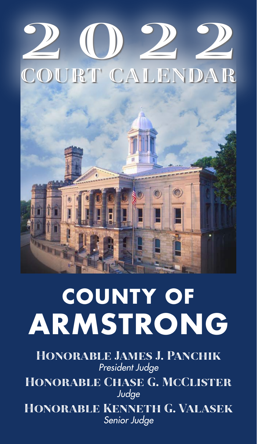

# **COUNTY OF ARMSTRONG**

Honorable James J. Panchik *President Judge* Honorable Chase G. McClister *Judge* Honorable Kenneth G. Valasek *Senior Judge*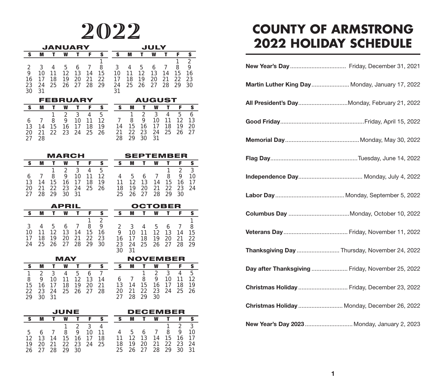|    |    |    | JANUARY  |    |    |    |    |    |    | JULY   |    |    |               |
|----|----|----|----------|----|----|----|----|----|----|--------|----|----|---------------|
| S  | M  |    | w        |    | F  | s  | S  | M  |    | W      |    | F  | s             |
|    |    |    |          |    |    |    |    |    |    |        |    | 1  | $\mathcal{P}$ |
| 2  | 3  | 4  | 5        | 6  |    | 8  | 3  | 4  | 5  | 6      |    | 8  | 9             |
| 9  | 10 | 11 | 12       | 13 | 14 | 15 | 10 | 11 | 12 | 13     | 14 | 15 | 16            |
| 16 |    | 18 | 19       | 20 | 21 | 22 | 17 | 18 | 19 | 20     | 21 | 22 | 23            |
| 23 | 24 | 25 | 26       | 27 | 28 | 29 | 24 | 25 | 26 | 27     | 28 | 29 | 30            |
| 30 | 31 |    |          |    |    |    | 31 |    |    |        |    |    |               |
|    |    |    | FEBRUARY |    |    |    |    |    |    | AUGUST |    |    |               |
| -S | M  |    | W        |    | F  | s  | s  | M  |    | W      |    | F  | S             |
|    |    |    | っ        | 3  | 4  | 5  |    | 1  | 2  | 3      | 4  | 5  | 6             |
| 6  |    | 8  | 9        | 10 |    | 12 |    | 8  | 9  | 10     |    |    |               |

 14 15 16 17 18 19 21 22 23 24 25 26 15 16 17 18 19 20 22 23 24 25 26 27 28 29 30 31

| <b>MARCH</b> |    |     |             |             |     |    |     | <b>SEPTEMBER</b> |    |    |          |    |    |
|--------------|----|-----|-------------|-------------|-----|----|-----|------------------|----|----|----------|----|----|
|              |    |     | w           |             |     |    |     |                  |    | w  |          |    |    |
|              |    | 1.  |             | 3           |     | h  |     |                  |    |    |          |    |    |
|              |    | 8   | 9           | 10          | -11 | 12 |     | 5                | 6  |    | 8        | 9  | 10 |
| 13           | 14 |     | 15 16 17 18 |             |     | 19 | 11  | 12               | 13 | 14 | 15       | 16 |    |
| 20           | 21 | 22. |             | 23 24 25 26 |     |    | 18  | 19               | 20 |    | 21 22 23 |    | 24 |
|              |    | ာဝ  |             |             |     |    | 25. | 26.              |    | 28 | -29      | 30 |    |

27 28

|              |    |                      | <b>APRIL</b> |             |   |    |      |             | <b>OCTOBER</b>    |                |   |    |
|--------------|----|----------------------|--------------|-------------|---|----|------|-------------|-------------------|----------------|---|----|
|              | M  |                      | w            |             |   |    |      | M           |                   | W              | Е | s. |
|              |    |                      |              |             |   |    |      |             |                   |                |   |    |
| $\mathbf{3}$ |    | 4 5 6 7              |              |             | 8 | -9 |      | 2 3 4 5 6 7 |                   |                |   | -8 |
| 10           |    | 11 12 13 14 15 16    |              |             |   |    | 9    | 10          | 11 12 13 14       |                |   | 15 |
| 17           | 18 | 19                   |              | 20 21 22 23 |   |    | 16 - | 17          |                   | 18 19 20 21 22 |   |    |
|              |    | 24 25 26 27 28 29 30 |              |             |   |    | 23   |             | 24 25 26 27 28 29 |                |   |    |
|              |    |                      |              |             |   |    | 30   |             |                   |                |   |    |

| MAY |   |       |    |                 |     |    |     | <b>NOVEMBER</b> |                 |    |             |    |     |
|-----|---|-------|----|-----------------|-----|----|-----|-----------------|-----------------|----|-------------|----|-----|
|     |   |       | w  |                 |     |    |     | M               |                 | W  |             |    | S.  |
|     |   | 3     | 4  | 5               |     |    |     |                 |                 |    | 3           | 4  | -5. |
| 8   | 9 | 10    | 11 | 12 <sup>°</sup> | 13  | 14 |     | 67              | 8               | 9  | 10          | 11 | 12  |
| 15  |   | 16 17 |    | 18 19           | 20. | 21 | 13  | 14              | 15              |    | 16 17       | 18 | 19  |
| 22. |   | 23 24 |    | 25 26 27        |     | 28 | 20. | -21             | 22 <sub>2</sub> |    | 23 24 25 26 |    |     |
| 29  |   |       |    |                 |     |    |     |                 | 29              | 30 |             |    |     |

| JUNE |     |    |                |               |             |    |  |    | <b>DECEMBER</b> |    |               |          |    |      |
|------|-----|----|----------------|---------------|-------------|----|--|----|-----------------|----|---------------|----------|----|------|
|      |     |    | w              |               |             |    |  |    |                 |    | W             |          |    |      |
|      |     |    | $\overline{1}$ | $\mathcal{L}$ |             | 4  |  |    |                 |    |               |          |    |      |
| 5.   | -6  |    | 8              | 9             | 10          | 11 |  |    | 5               | 6  | $\frac{1}{2}$ | 8        | 9  | 10   |
| 12   | 13  | 14 |                |               | 15 16 17    | 18 |  | 11 | 12              | 13 | 14            | 15 16    |    | -17  |
| 19   | 20. | 21 |                |               | 22 23 24 25 |    |  | 18 | 19              | 20 |               | 21 22 23 |    | - 24 |
| 26   |     | 28 | 29.            | $30^{\circ}$  |             |    |  |    | 25 26 27        |    |               | 28 29    | 30 | -31  |

## 2022 **COUNTY OF ARMSTRONG 2022 HOLIDAY SCHEDULE**

| Martin Luther King Day  Monday, January 17, 2022  |  |
|---------------------------------------------------|--|
| All President's Day Monday, February 21, 2022     |  |
|                                                   |  |
|                                                   |  |
|                                                   |  |
|                                                   |  |
|                                                   |  |
|                                                   |  |
|                                                   |  |
| Thanksgiving Day  Thursday, November 24, 2022     |  |
| Day after Thanksgiving  Friday, November 25, 2022 |  |
| Christmas Holiday  Friday, December 23, 2022      |  |
| Christmas Holiday  Monday, December 26, 2022      |  |
| New Year's Day 2023  Monday, January 2, 2023      |  |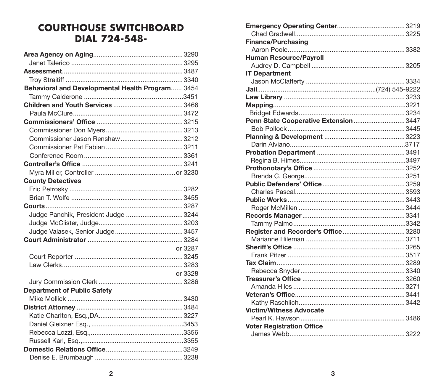#### **COURTHOUSE SWITCHBOARD DIAL 724-548-**

| Behavioral and Developmental Health Program 3454 |         |
|--------------------------------------------------|---------|
|                                                  |         |
|                                                  |         |
|                                                  |         |
|                                                  |         |
|                                                  |         |
|                                                  |         |
|                                                  |         |
|                                                  |         |
|                                                  |         |
|                                                  |         |
| <b>County Detectives</b>                         |         |
|                                                  |         |
|                                                  |         |
|                                                  |         |
| Judge Panchik, President Judge  3244             |         |
|                                                  |         |
|                                                  |         |
|                                                  |         |
|                                                  | or 3287 |
|                                                  |         |
|                                                  |         |
|                                                  | or 3328 |
|                                                  |         |
| <b>Department of Public Safety</b>               |         |
|                                                  |         |
|                                                  |         |
|                                                  |         |
|                                                  |         |
|                                                  |         |
|                                                  |         |
|                                                  |         |
|                                                  |         |

| <b>Finance/Purchasing</b>              |  |
|----------------------------------------|--|
|                                        |  |
| <b>Human Resource/Payroll</b>          |  |
|                                        |  |
| <b>IT Department</b>                   |  |
|                                        |  |
|                                        |  |
|                                        |  |
|                                        |  |
|                                        |  |
| Penn State Cooperative Extension  3447 |  |
|                                        |  |
|                                        |  |
|                                        |  |
|                                        |  |
|                                        |  |
|                                        |  |
|                                        |  |
|                                        |  |
|                                        |  |
|                                        |  |
|                                        |  |
|                                        |  |
|                                        |  |
|                                        |  |
|                                        |  |
|                                        |  |
|                                        |  |
|                                        |  |
|                                        |  |
|                                        |  |
|                                        |  |
|                                        |  |
|                                        |  |
| <b>Victim/Witness Advocate</b>         |  |
|                                        |  |
| <b>Voter Registration Office</b>       |  |
|                                        |  |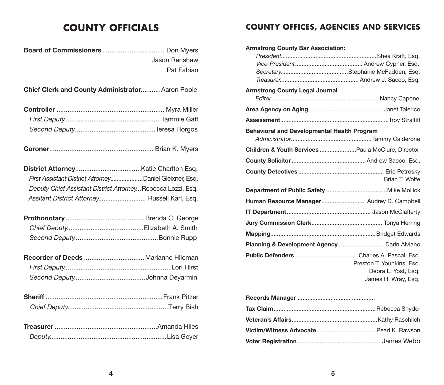| Jason Renshaw                                                |  |
|--------------------------------------------------------------|--|
| Pat Fabian                                                   |  |
|                                                              |  |
| Chief Clerk and County AdministratorAaron Poole              |  |
|                                                              |  |
|                                                              |  |
|                                                              |  |
|                                                              |  |
|                                                              |  |
| First Assistant District AttorneyDaniel Gleixner, Esq.       |  |
| Deputy Chief Assistant District Attorney Rebecca Lozzi, Esq. |  |
| Assitant District Attorney Russell Karl, Esq.                |  |
|                                                              |  |
|                                                              |  |
|                                                              |  |
|                                                              |  |
|                                                              |  |
|                                                              |  |
|                                                              |  |
|                                                              |  |
|                                                              |  |
|                                                              |  |

#### **COUNTY OFFICIALS COUNTY OFFICES, AGENCIES AND SERVICES**

| <b>Armstrong County Bar Association:</b>                     |                                                                         |
|--------------------------------------------------------------|-------------------------------------------------------------------------|
| <b>Armstrong County Legal Journal</b>                        |                                                                         |
|                                                              |                                                                         |
|                                                              |                                                                         |
|                                                              |                                                                         |
| <b>Behavioral and Developmental Health Program</b>           |                                                                         |
|                                                              |                                                                         |
| <b>Children &amp; Youth Services Paula McClure, Director</b> |                                                                         |
|                                                              |                                                                         |
|                                                              | Brian T. Wolfe                                                          |
|                                                              |                                                                         |
| Human Resource Manager Audrey D. Campbell                    |                                                                         |
|                                                              |                                                                         |
|                                                              |                                                                         |
|                                                              |                                                                         |
| Planning & Development Agency Darin Alviano                  |                                                                         |
|                                                              | Preston T. Younkins, Esg.<br>Debra L. Yost, Esg.<br>James H. Wray, Esq. |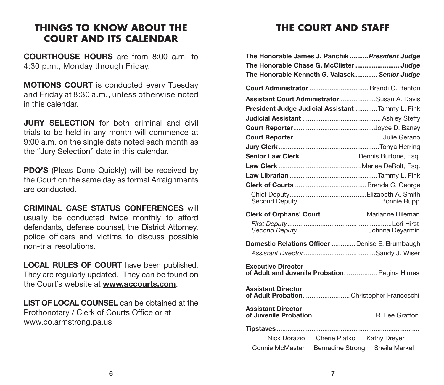#### **THINGS TO KNOW ABOUT THE COURT AND ITS CALENDAR**

COURTHOUSE HOURS are from 8:00 a.m. to 4:30 p.m., Monday through Friday.

MOTIONS COURT is conducted every Tuesday and Friday at 8:30 a.m., unless otherwise noted in this calendar.

**JURY SELECTION** for both criminal and civil trials to be held in any month will commence at 9:00 a.m. on the single date noted each month as the "Jury Selection" date in this calendar.

PDQ'S (Pleas Done Quickly) will be received by the Court on the same day as formal Arraignments are conducted.

CRIMINAL CASE STATUS CONFERENCES will usually be conducted twice monthly to afford defendants, defense counsel, the District Attorney, police officers and victims to discuss possible non-trial resolutions.

LOCAL RULES OF COURT have been published. They are regularly updated. They can be found on the Court's website at **www.accourts.com**.

LIST OF LOCAL COUNSEL can be obtained at the Prothonotary / Clerk of Courts Office or at www.co.armstrong.pa.us

#### **THE COURT AND STAFF**

| The Honorable James J. Panchik  President Judge                                                |                                         |               |
|------------------------------------------------------------------------------------------------|-----------------------------------------|---------------|
| The Honorable Chase G. McClister  Judge                                                        |                                         |               |
| The Honorable Kenneth G. Valasek Senior Judge                                                  |                                         |               |
| Court Administrator  Brandi C. Benton                                                          |                                         |               |
| Assistant Court AdministratorSusan A. Davis                                                    |                                         |               |
| President Judge Judicial Assistant Tammy L. Fink                                               |                                         |               |
|                                                                                                |                                         |               |
|                                                                                                |                                         |               |
|                                                                                                |                                         |               |
|                                                                                                |                                         |               |
| Senior Law Clerk  Dennis Buffone, Esq.                                                         |                                         |               |
|                                                                                                |                                         |               |
|                                                                                                |                                         |               |
|                                                                                                |                                         |               |
|                                                                                                |                                         |               |
| Clerk of Orphans' CourtMarianne Hileman                                                        |                                         |               |
|                                                                                                |                                         |               |
| Domestic Relations Officer  Denise E. Brumbaugh                                                |                                         |               |
|                                                                                                |                                         |               |
| <b>Executive Director</b><br>of Adult and Juvenile Probation Regina Himes                      |                                         |               |
| <b>Assistant Director</b><br>Assistant Director<br>of Adult Probation.  Christopher Franceschi |                                         |               |
| <b>Assistant Director</b>                                                                      |                                         |               |
|                                                                                                |                                         |               |
|                                                                                                | Nick Dorazio Cherie Platko Kathy Dreyer |               |
| Connie McMaster                                                                                | <b>Bernadine Strong</b>                 | Sheila Markel |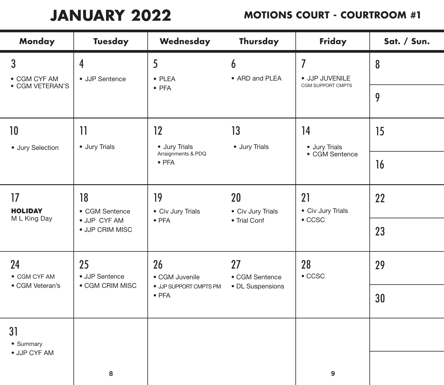**JANUARY 2022**

| <b>Monday</b>                       | <b>Tuesday</b>                                                                                        | Wednesday                               | Thursday                | Friday                   | Sat. / Sun. |
|-------------------------------------|-------------------------------------------------------------------------------------------------------|-----------------------------------------|-------------------------|--------------------------|-------------|
| 3<br>• CGM CYF AM                   | 5<br>$\overline{I}$<br>4<br>6<br>• ARD and PLEA<br>· JJP JUVENILE<br>• JJP Sentence<br>$\bullet$ PLEA |                                         | 8                       |                          |             |
| • CGM VETERAN'S                     |                                                                                                       | $\bullet$ PFA                           |                         | <b>CGM SUPPORT CMPTS</b> | 9           |
| 10 <sup>°</sup><br>· Jury Selection | $\overline{11}$<br>· Jury Trials                                                                      | 12<br>• Jury Trials                     | 13<br>• Jury Trials     | 14<br>• Jury Trials      | 15          |
|                                     |                                                                                                       | Arraignments & PDQ<br>$\bullet$ PFA     |                         | • CGM Sentence           | 16          |
| 17<br><b>HOLIDAY</b>                | 18<br>• CGM Sentence                                                                                  | 19<br>• Civ Jury Trials                 | 20<br>• Civ Jury Trials | 21<br>• Civ Jury Trials  | 22          |
| M L King Day                        | · JJP CYF AM<br>· JJP CRIM MISC                                                                       | $\bullet$ PFA                           | • Trial Conf            | $\bullet$ CCSC           | 23          |
| 24<br>• CGM CYF AM                  | 25<br>• JJP Sentence                                                                                  | 26<br>• CGM Juvenile                    | 27<br>• CGM Sentence    | 28<br>$\bullet$ CCSC     | 29          |
| • CGM Veteran's                     | • CGM CRIM MISC                                                                                       | · JJP SUPPORT CMPTS PM<br>$\bullet$ PFA | • DL Suspensions        |                          | 30          |
| 31<br>• Summary                     |                                                                                                       |                                         |                         |                          |             |
| · JJP CYF AM                        | 8                                                                                                     |                                         |                         | 9                        |             |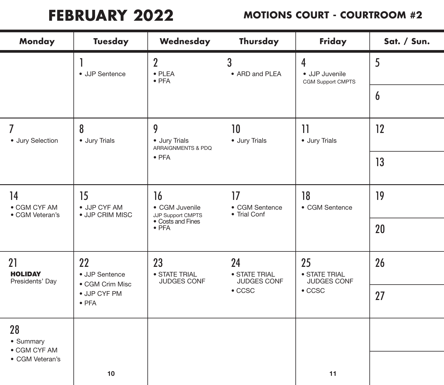**FEBRUARY 2022**

| <b>Monday</b>                           | <b>Tuesday</b>                          | Wednesday                                              | Thursday                           | Friday                                          | Sat. / Sun.      |
|-----------------------------------------|-----------------------------------------|--------------------------------------------------------|------------------------------------|-------------------------------------------------|------------------|
|                                         | • JJP Sentence                          | $\overline{2}$<br>$\bullet$ PLEA<br>$\bullet$ PFA      | 3<br>• ARD and PLEA                | 4<br>· JJP Juvenile<br><b>CGM Support CMPTS</b> | 5                |
|                                         |                                         |                                                        |                                    |                                                 | $\boldsymbol{6}$ |
| 7<br>· Jury Selection                   | 8<br>• Jury Trials                      | 9<br>• Jury Trials<br>ARRAIGNMENTS & PDQ               | 10<br>• Jury Trials                | 11<br>· Jury Trials                             | 12               |
|                                         |                                         | $\bullet$ PFA                                          |                                    | 13                                              |                  |
| 14<br>• CGM CYF AM<br>• CGM Veteran's   | 15<br>• JJP CYF AM<br>· JJP CRIM MISC   | 17<br>16<br>• CGM Juvenile<br><b>JJP Support CMPTS</b> | • CGM Sentence<br>• Trial Conf     | 18<br>• CGM Sentence                            | 19               |
|                                         |                                         | • Costs and Fines<br>$\bullet$ PFA                     |                                    |                                                 | 20               |
| 21<br><b>HOLIDAY</b><br>Presidents' Day | 22<br>• JJP Sentence<br>• CGM Crim Misc | 23<br>• STATE TRIAL<br><b>JUDGES CONF</b>              | 24<br>• STATE TRIAL<br>JUDGES CONF | 25<br>• STATE TRIAL<br><b>JUDGES CONF</b>       | 26               |
|                                         | · JJP CYF PM<br>$\bullet$ PFA           |                                                        | $\bullet$ CCSC                     | $\bullet$ CCSC                                  | 27               |
| 28<br>• Summary<br>• CGM CYF AM         |                                         |                                                        |                                    |                                                 |                  |
| • CGM Veteran's                         |                                         |                                                        |                                    |                                                 |                  |
|                                         | 10                                      |                                                        |                                    | 11                                              |                  |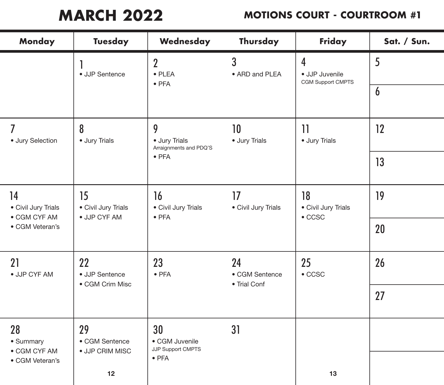**MARCH 2022**

| Monday                          | <b>Tuesday</b>                      | Wednesday                                                               | Thursday                             | Friday                                                | Sat. / Sun. |
|---------------------------------|-------------------------------------|-------------------------------------------------------------------------|--------------------------------------|-------------------------------------------------------|-------------|
|                                 | • JJP Sentence                      | $\overline{2}$<br>$\bullet$ PLEA<br>$\bullet$ PFA                       | 3<br>• ARD and PLEA                  | $\overline{4}$<br>· JJP Juvenile<br>CGM Support CMPTS | 5           |
|                                 |                                     |                                                                         |                                      |                                                       | 6           |
| 7<br>· Jury Selection           | 8<br>· Jury Trials                  | 9<br>• Jury Trials<br>Arraignments and PDQ'S                            | 10<br>· Jury Trials                  | 11<br>· Jury Trials                                   | 12          |
|                                 |                                     | $\bullet$ PFA                                                           |                                      |                                                       | 13          |
| 15<br>14<br>• Civil Jury Trials | • Civil Jury Trials<br>· JJP CYF AM | 17<br>16<br>• Civil Jury Trials<br>• Civil Jury Trials<br>$\bullet$ PFA |                                      | 18<br>• Civil Jury Trials<br>$\bullet$ CCSC           | 19          |
| • CGM CYF AM<br>• CGM Veteran's |                                     |                                                                         |                                      | 20                                                    |             |
| 21<br>· JJP CYF AM              | 22<br>• JJP Sentence                | 23<br>$\bullet$ PFA                                                     | 24<br>• CGM Sentence<br>• Trial Conf | 25<br>$\bullet$ CCSC                                  | 26          |
|                                 | • CGM Crim Misc                     |                                                                         |                                      |                                                       | 27          |
| 28<br>• Summary                 | 29<br>• CGM Sentence                | 30<br>• CGM Juvenile<br>JJP Support CMPTS                               | 31                                   |                                                       |             |
| • CGM CYF AM<br>• CGM Veteran's | • JJP CRIM MISC                     | $\bullet$ PFA                                                           |                                      |                                                       |             |
|                                 | 12                                  |                                                                         |                                      | 13                                                    |             |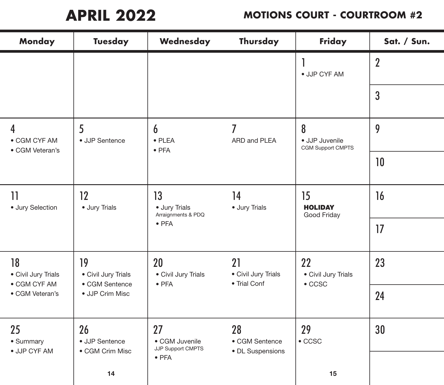**APRIL 2022**

| Monday                                                               | <b>Tuesday</b>            | Wednesday                                  | Thursday                                  | Friday                                   | Sat. / Sun.    |
|----------------------------------------------------------------------|---------------------------|--------------------------------------------|-------------------------------------------|------------------------------------------|----------------|
|                                                                      |                           |                                            |                                           | · JJP CYF AM                             | $\overline{2}$ |
|                                                                      |                           |                                            |                                           |                                          | $\overline{3}$ |
| 4<br>• CGM CYF AM                                                    | 5<br>• JJP Sentence       | 6<br>$\bullet$ PLEA<br>$\bullet$ PFA       | 7<br>ARD and PLEA                         | 8<br>· JJP Juvenile<br>CGM Support CMPTS | 9              |
| • CGM Veteran's                                                      |                           |                                            |                                           |                                          | 10             |
| 11<br>· Jury Selection                                               | $12 \,$<br>· Jury Trials  | 13<br>· Jury Trials<br>Arraignments & PDQ  | 14<br>· Jury Trials                       | 15<br><b>HOLIDAY</b><br>Good Friday      | 16             |
|                                                                      |                           | $\bullet$ PFA                              |                                           |                                          | 17             |
| 18<br>• Civil Jury Trials                                            | 19<br>• Civil Jury Trials | 20<br>• Civil Jury Trials<br>$\bullet$ PFA | 21<br>• Civil Jury Trials<br>• Trial Conf | 22<br>• Civil Jury Trials                | 23             |
| • CGM CYF AM<br>• CGM Sentence<br>• CGM Veteran's<br>· JJP Crim Misc |                           |                                            |                                           | $\bullet$ CCSC                           | 24             |
| 25<br>• Summary                                                      | 26<br>• JJP Sentence      | 27<br>• CGM Juvenile<br>JJP Support CMPTS  | 28<br>• CGM Sentence                      | 29<br>$\bullet$ CCSC                     | 30             |
| · JJP CYF AM                                                         | • CGM Crim Misc<br>14     | $\bullet$ PFA                              | • DL Suspensions                          | 15                                       |                |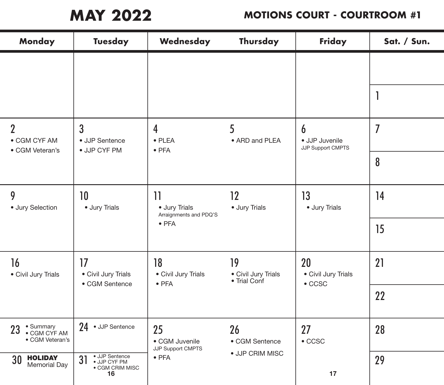**MAY 2022**

| <b>Monday</b>                                      | <b>Tuesday</b>                                                        | Wednesday                                                                                        | Thursday                  | Friday                                   | Sat. / Sun.    |
|----------------------------------------------------|-----------------------------------------------------------------------|--------------------------------------------------------------------------------------------------|---------------------------|------------------------------------------|----------------|
|                                                    |                                                                       |                                                                                                  |                           |                                          |                |
|                                                    |                                                                       |                                                                                                  |                           |                                          |                |
| $\overline{2}$<br>• CGM CYF AM                     | 3<br>• JJP Sentence                                                   | 4<br>$\bullet$ PLEA<br>$\bullet$ PFA                                                             | 5<br>• ARD and PLEA       | 6<br>· JJP Juvenile<br>JJP Support CMPTS | $\overline{I}$ |
|                                                    | • CGM Veteran's<br>• JJP CYF PM                                       |                                                                                                  |                           |                                          | 8              |
| 9<br>· Jury Selection                              | 10<br>· Jury Trials                                                   | 12<br>$\mathcal{V}$<br>· Jury Trials<br>· Jury Trials<br>Arraignments and PDQ'S<br>$\bullet$ PFA | 13                        | · Jury Trials                            | 14             |
|                                                    |                                                                       |                                                                                                  |                           | 15                                       |                |
| 16<br>• Civil Jury Trials                          | 17<br>• Civil Jury Trials                                             | 18<br>• Civil Jury Trials                                                                        | 19<br>• Civil Jury Trials | 20<br>• Civil Jury Trials                | 21             |
|                                                    | • Trial Conf<br>• CGM Sentence<br>$\bullet$ PFA                       | $\bullet$ CCSC                                                                                   | 22                        |                                          |                |
| • Summary<br>23<br>• CGM CYF AM<br>• CGM Veteran's | 24 • JJP Sentence                                                     | 25<br>• CGM Juvenile<br>JJP Support CMPTS                                                        | 26<br>• CGM Sentence      | 27<br>$\bullet$ CCSC                     | 28             |
| <b>HOLIDAY</b><br>30<br>Memorial Day               | · JJP Sentence<br>31<br>· JJP CYF PM<br>$\bullet$ CGM CRIM MISC<br>16 | $\bullet$ PFA                                                                                    | · JJP CRIM MISC           | 17                                       | 29             |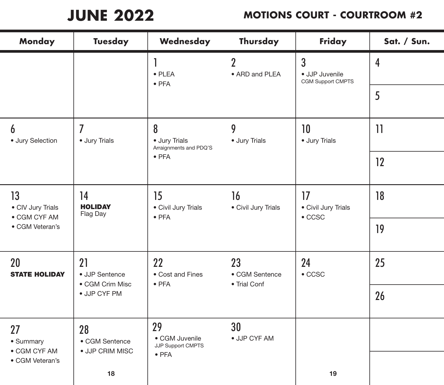**JUNE 2022**

| Monday                          | <b>Tuesday</b>             | Wednesday                                        | Thursday                             | Friday                                      | Sat. / Sun.    |
|---------------------------------|----------------------------|--------------------------------------------------|--------------------------------------|---------------------------------------------|----------------|
|                                 |                            | $\bullet$ PLEA<br>$\bullet$ PFA                  | $\overline{2}$<br>• ARD and PLEA     | 3<br>· JJP Juvenile<br>CGM Support CMPTS    | $\overline{4}$ |
|                                 |                            |                                                  |                                      |                                             | 5              |
| 6<br>· Jury Selection           | 7<br>· Jury Trials         | 8<br>· Jury Trials<br>Arraignments and PDQ'S     | 9<br>· Jury Trials                   | 10<br>· Jury Trials                         | $\mathbf{1}$   |
|                                 |                            | $\bullet$ PFA                                    |                                      |                                             | 12             |
| 13<br>14<br>• CIV Jury Trials   | <b>HOLIDAY</b><br>Flag Day | 15<br>16<br>• Civil Jury Trials<br>$\bullet$ PFA | • Civil Jury Trials                  | 17<br>• Civil Jury Trials<br>$\bullet$ CCSC | 18             |
| • CGM CYF AM<br>• CGM Veteran's |                            |                                                  |                                      |                                             | 19             |
| 20<br><b>STATE HOLIDAY</b>      | 21<br>• JJP Sentence       | 22<br>• Cost and Fines                           | 23<br>• CGM Sentence<br>• Trial Conf | 24<br>$\bullet$ CCSC                        | 25             |
| • CGM Crim Misc                 | · JJP CYF PM               | $\bullet$ PFA                                    |                                      |                                             | 26             |
| 27<br>• Summary                 | 28<br>• CGM Sentence       | 29<br>• CGM Juvenile<br>JJP Support CMPTS        | 30<br>· JJP CYF AM                   |                                             |                |
| • CGM CYF AM<br>• CGM Veteran's | · JJP CRIM MISC<br>18      | $\bullet$ PFA                                    |                                      | 19                                          |                |
|                                 |                            |                                                  |                                      |                                             |                |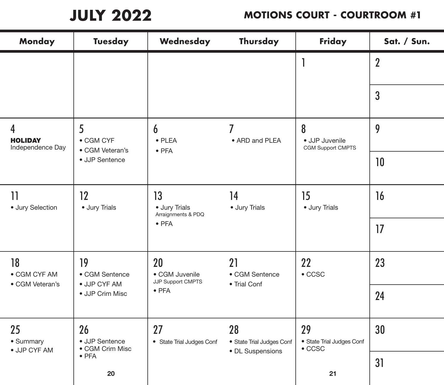**JULY 2022**

| <b>Monday</b>                                           | <b>Tuesday</b>                                                                        | Wednesday                                                                         | Thursday                                            | Friday                                            | Sat. / Sun.    |
|---------------------------------------------------------|---------------------------------------------------------------------------------------|-----------------------------------------------------------------------------------|-----------------------------------------------------|---------------------------------------------------|----------------|
|                                                         |                                                                                       |                                                                                   |                                                     |                                                   | $\overline{2}$ |
|                                                         |                                                                                       |                                                                                   |                                                     |                                                   | $\overline{3}$ |
| 4<br><b>HOLIDAY</b><br>Independence Day                 | 5<br>• CGM CYF<br>• CGM Veteran's                                                     | 6<br>$\bullet$ PLEA<br>$\bullet$ PFA                                              | 7<br>• ARD and PLEA                                 | 8<br>· JJP Juvenile<br><b>CGM Support CMPTS</b>   | 9              |
|                                                         | • JJP Sentence                                                                        |                                                                                   |                                                     |                                                   | 10             |
| 11<br>· Jury Selection                                  | 12<br>· Jury Trials                                                                   | 13<br>14<br>· Jury Trials<br>· Jury Trials<br>Arraignments & PDQ<br>$\bullet$ PFA |                                                     | 15<br>· Jury Trials                               | 16             |
|                                                         |                                                                                       |                                                                                   |                                                     | 17                                                |                |
| 18<br>• CGM CYF AM<br>• CGM Veteran's                   | 19<br>• CGM Sentence                                                                  | 20<br>• CGM Juvenile                                                              | 21<br>• CGM Sentence                                | 22<br>$\bullet$ CCSC                              | 23             |
|                                                         | JJP Support CMPTS<br>• JJP CYF AM<br>• Trial Conf<br>$\bullet$ PFA<br>• JJP Crim Misc |                                                                                   | 24                                                  |                                                   |                |
| 26<br>25<br>• Summary<br>• JJP Sentence<br>· JJP CYF AM | • CGM Crim Misc                                                                       | 27<br>• State Trial Judges Conf                                                   | 28<br>• State Trial Judges Conf<br>• DL Suspensions | 29<br>• State Trial Judges Conf<br>$\bullet$ CCSC | 30             |
|                                                         | $\bullet$ PFA<br>20                                                                   |                                                                                   |                                                     | 21                                                | 31             |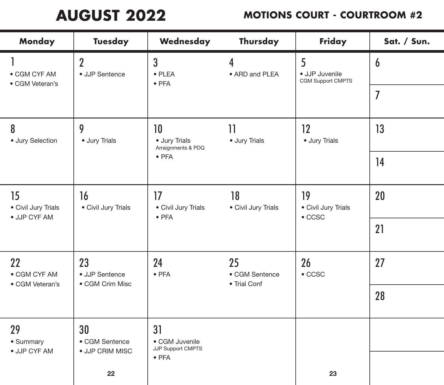**AUGUST 2022**

| Monday                                    | <b>Tuesday</b>                          | Wednesday                                         | Thursday                             | Friday                                      | Sat. / Sun.    |
|-------------------------------------------|-----------------------------------------|---------------------------------------------------|--------------------------------------|---------------------------------------------|----------------|
| • CGM CYF AM<br>• CGM Veteran's           | $\overline{2}$<br>• JJP Sentence        | $\overline{3}$<br>$\bullet$ PLEA<br>$\bullet$ PFA | 4<br>• ARD and PLEA                  | 5<br>· JJP Juvenile<br>CGM Support CMPTS    | $\overline{6}$ |
|                                           |                                         |                                                   |                                      | 7                                           |                |
| 8<br>· Jury Selection                     | 9<br>· Jury Trials                      | 10<br>• Jury Trials<br>Arraignments & PDQ         | 11<br>· Jury Trials                  | 12<br>· Jury Trials                         | 13             |
|                                           |                                         | $\bullet$ PFA                                     |                                      |                                             | 14             |
| 15<br>• Civil Jury Trials<br>· JJP CYF AM | 17<br>16<br>• Civil Jury Trials         | • Civil Jury Trials<br>$\bullet$ PFA              | 18<br>• Civil Jury Trials            | 19<br>• Civil Jury Trials<br>$\bullet$ CCSC | 20             |
|                                           |                                         |                                                   |                                      | 21                                          |                |
| 22<br>• CGM CYF AM<br>• CGM Veteran's     | 23<br>• JJP Sentence<br>• CGM Crim Misc | 24<br>$\bullet$ PFA                               | 25<br>• CGM Sentence<br>• Trial Conf | 26<br>$\bullet$ CCSC                        | 27             |
|                                           |                                         |                                                   |                                      |                                             | 28             |
| 29<br>• Summary<br>· JJP CYF AM           | 30<br>• CGM Sentence<br>• JJP CRIM MISC | 31<br>• CGM Juvenile<br>JJP Support CMPTS         |                                      |                                             |                |
|                                           | 22                                      | $\bullet$ PFA                                     |                                      | 23                                          |                |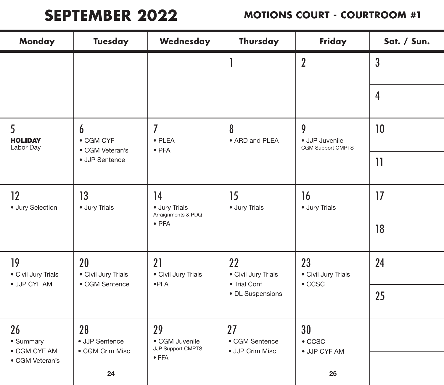# **SEPTEMBER 2022**

| <b>Monday</b>                    | <b>Tuesday</b>                    | Wednesday                                         | Thursday                                                      | Friday                                      | Sat. / Sun.    |
|----------------------------------|-----------------------------------|---------------------------------------------------|---------------------------------------------------------------|---------------------------------------------|----------------|
|                                  |                                   |                                                   |                                                               | $\overline{2}$                              | $\mathbf{3}$   |
|                                  |                                   |                                                   |                                                               |                                             | $\overline{4}$ |
| 5<br><b>HOLIDAY</b><br>Labor Day | 6<br>• CGM CYF<br>• CGM Veteran's | $\overline{I}$<br>$\bullet$ PLEA<br>$\bullet$ PFA | 8<br>• ARD and PLEA                                           | 9<br>· JJP Juvenile<br>CGM Support CMPTS    | 10             |
| • JJP Sentence                   |                                   |                                                   |                                                               |                                             | 11             |
| 13<br>12<br>· Jury Selection     | · Jury Trials                     | 14<br>· Jury Trials<br>Arraignments & PDQ         | 15<br>· Jury Trials                                           | 16<br>· Jury Trials                         | 17             |
|                                  |                                   | $\bullet$ PFA                                     |                                                               |                                             | 18             |
| 19<br>• Civil Jury Trials        | 20<br>• Civil Jury Trials         | 21<br>• Civil Jury Trials<br>$\bullet$ PFA        | 22<br>• Civil Jury Trials<br>• Trial Conf<br>• DL Suspensions | 23<br>• Civil Jury Trials<br>$\bullet$ CCSC | 24             |
| · JJP CYF AM<br>• CGM Sentence   |                                   |                                                   |                                                               |                                             | 25             |
| 28<br>26<br>• Summary            | • JJP Sentence<br>• CGM Crim Misc | 29<br>• CGM Juvenile<br>JJP Support CMPTS         | 27<br>• CGM Sentence<br>• JJP Crim Misc                       | 30<br>$\bullet$ CCSC<br>· JJP CYF AM        |                |
| • CGM CYF AM<br>• CGM Veteran's  | 24                                | $\bullet$ PFA                                     |                                                               | 25                                          |                |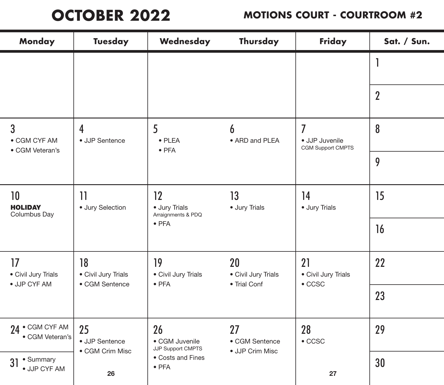## **OCTOBER 2022**

| <b>Monday</b>                                     | <b>Tuesday</b>                              | Wednesday                                                                              | Thursday                                  | Friday                                      | Sat. / Sun.      |
|---------------------------------------------------|---------------------------------------------|----------------------------------------------------------------------------------------|-------------------------------------------|---------------------------------------------|------------------|
|                                                   |                                             |                                                                                        |                                           |                                             |                  |
|                                                   |                                             |                                                                                        |                                           |                                             | $\boldsymbol{2}$ |
| $\overline{3}$<br>• CGM CYF AM<br>• CGM Veteran's | $\overline{4}$<br>• JJP Sentence            | 5<br>$\bullet$ PLEA<br>$\bullet$ PFA                                                   | 6<br>• ARD and PLEA                       | 7<br>· JJP Juvenile<br>CGM Support CMPTS    | 8                |
|                                                   |                                             |                                                                                        |                                           |                                             | 9                |
| 10 <sup>°</sup><br><b>HOLIDAY</b><br>Columbus Day | 11<br>· Jury Selection                      | 13<br>$12 \,$<br>· Jury Trials<br>· Jury Trials<br>Arraignments & PDQ<br>$\bullet$ PFA | 14<br>· Jury Trials                       | 15                                          |                  |
|                                                   |                                             |                                                                                        |                                           | 16                                          |                  |
| 17<br>• Civil Jury Trials<br>· JJP CYF AM         | 18<br>• Civil Jury Trials<br>• CGM Sentence | 19<br>• Civil Jury Trials                                                              | 20<br>• Civil Jury Trials<br>• Trial Conf | 21<br>• Civil Jury Trials<br>$\bullet$ CCSC | 22               |
|                                                   |                                             | $\bullet$ PFA                                                                          |                                           |                                             | 23               |
| • CGM CYF AM<br>24<br>• CGM Veteran's             | 25<br>• JJP Sentence<br>• CGM Crim Misc     | 26<br>• CGM Juvenile<br>JJP Support CMPTS                                              | 27<br>• CGM Sentence<br>· JJP Crim Misc   | 28<br>$\bullet$ CCSC                        | 29               |
| • Summary<br>31<br>· JJP CYF AM                   | 26                                          | • Costs and Fines<br>$\bullet$ PFA                                                     |                                           | 27                                          | 30               |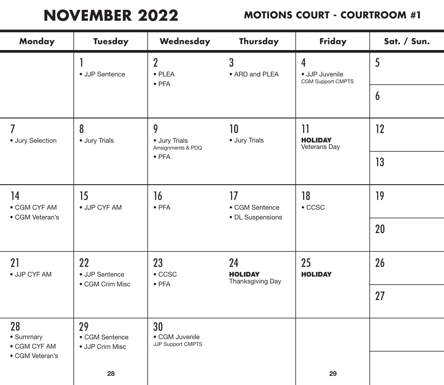# **NOVEMBER 2022**

| Monday                                | <b>Tuesday</b>                                                                                                                     | Wednesday                                         | Thursday                                 | Friday                                   | Sat. / Sun.      |
|---------------------------------------|------------------------------------------------------------------------------------------------------------------------------------|---------------------------------------------------|------------------------------------------|------------------------------------------|------------------|
|                                       | • JJP Sentence                                                                                                                     | $\overline{2}$<br>$\bullet$ PLEA<br>$\bullet$ PFA | 3<br>• ARD and PLEA                      | 4<br>· JJP Juvenile<br>CGM Support CMPTS | 5                |
|                                       |                                                                                                                                    |                                                   |                                          |                                          | $\boldsymbol{6}$ |
| 7<br>· Jury Selection                 | 8<br>10<br>$\overline{\mathbf{1}}$<br>9<br>· Jury Trials<br><b>HOLIDAY</b><br>· Jury Trials<br>• Jury Trials<br>Arraignments & PDQ | Veterans Day                                      | 12                                       |                                          |                  |
|                                       |                                                                                                                                    | $\bullet$ PFA                                     |                                          |                                          | 13               |
| 14<br>• CGM CYF AM<br>• CGM Veteran's | 15<br>· JJP CYF AM                                                                                                                 | 16<br>$\bullet$ PFA                               | 17<br>• CGM Sentence<br>• DL Suspensions | 18<br>$\bullet$ CCSC                     | 19               |
|                                       |                                                                                                                                    |                                                   |                                          |                                          | 20               |
| 21<br>· JJP CYF AM                    | 22<br>23<br>• JJP Sentence                                                                                                         | $\bullet$ CCSC<br>$\bullet$ PFA                   | 24<br><b>HOLIDAY</b><br>Thanksgiving Day | 25<br><b>HOLIDAY</b>                     | 26               |
|                                       | • CGM Crim Misc                                                                                                                    |                                                   |                                          |                                          | 27               |
| 28<br>· Summary<br>• CGM CYF AM       | 29<br>• CGM Sentence<br>• JJP Crim Misc                                                                                            | 30<br>• CGM Juvenile<br>JJP Support CMPTS         |                                          |                                          |                  |
| • CGM Veteran's                       | 28                                                                                                                                 |                                                   |                                          | 29                                       |                  |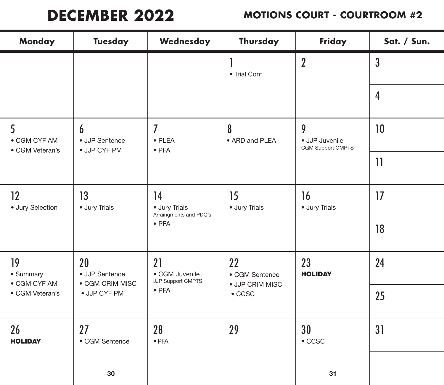# **DECEMBER 2022**

| Monday                          | <b>Tuesday</b>                          | Wednesday                                                                             | Thursday                          | Friday                                   | Sat. / Sun.    |
|---------------------------------|-----------------------------------------|---------------------------------------------------------------------------------------|-----------------------------------|------------------------------------------|----------------|
|                                 |                                         |                                                                                       | • Trial Conf                      | $\overline{2}$                           | $\overline{3}$ |
|                                 |                                         |                                                                                       |                                   |                                          | $\overline{4}$ |
| 5<br>• CGM CYF AM               | 6<br>• JJP Sentence                     | $\overline{I}$<br>$\bullet$ PLEA<br>$\bullet$ PFA                                     | 8<br>• ARD and PLEA               | 9<br>· JJP Juvenile<br>CGM Support CMPTS | 10             |
| • JJP CYF PM<br>• CGM Veteran's |                                         |                                                                                       |                                   | $\mathbf{1}$                             |                |
| 12<br>· Jury Selection          | 13<br>· Jury Trials                     | 14<br>15<br>· Jury Trials<br>· Jury Trials<br>Arraingments and PDQ's<br>$\bullet$ PFA |                                   | 16<br>· Jury Trials                      | 17             |
|                                 |                                         |                                                                                       |                                   | 18                                       |                |
| 19<br>• Summary<br>• CGM CYF AM | 20<br>• JJP Sentence<br>• CGM CRIM MISC | 21<br>• CGM Juvenile<br>JJP Support CMPTS                                             | 22<br>• CGM Sentence              | 23<br><b>HOLIDAY</b>                     | 24             |
| • CGM Veteran's                 | · JJP CYF PM                            | $\bullet$ PFA                                                                         | · JJP CRIM MISC<br>$\bullet$ CCSC |                                          | 25             |
| 26<br><b>HOLIDAY</b>            | 27<br>• CGM Sentence                    | 28<br>$\bullet$ PFA                                                                   | 29                                | 30<br>$\bullet$ CCSC                     | 31             |
|                                 | $30\,$                                  |                                                                                       |                                   | 31                                       |                |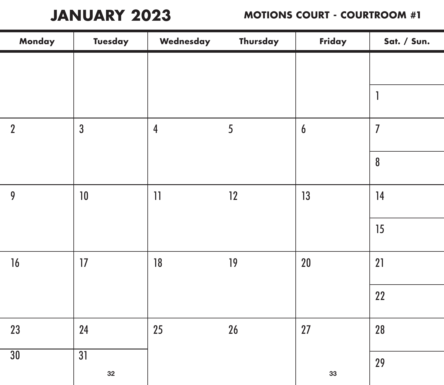**JANUARY 2023**

| Monday         | <b>Tuesday</b>        | Wednesday               | Thursday  | Friday | Sat. / Sun.      |
|----------------|-----------------------|-------------------------|-----------|--------|------------------|
|                |                       |                         |           |        |                  |
|                |                       |                         |           |        | 1                |
| $\overline{2}$ | $\overline{3}$        | $\overline{\mathbf{4}}$ | 5         | 6      | $\overline{I}$   |
|                |                       |                         |           |        | $\boldsymbol{8}$ |
| 9              | 10                    | $\left  {}\right $      | 12        | 13     | 14               |
|                |                       |                         |           |        | 15               |
| 16             | 17                    | 18                      | 19        | 20     | 21               |
|                |                       |                         |           |        | 22               |
| 23             | 24                    | 25                      | <b>26</b> | 27     | 28               |
| 30             | $\overline{31}$<br>32 |                         |           | 33     | 29               |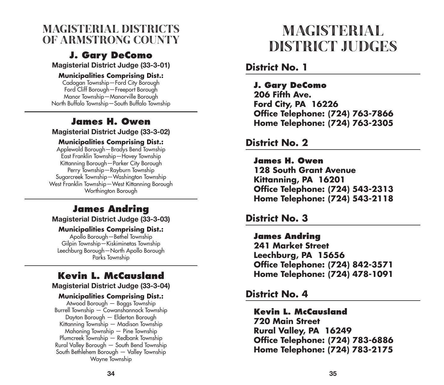#### MAGISTERIAL DISTRICTS OF ARMSTRONG COUNTY MAGISTERIAL

#### **J. Gary DeComo**

Magisterial District Judge (33-3-01)

#### **Municipalities Comprising Dist.:**

Cadogan Township—Ford City Borough Ford Cliff Borough—Freeport Borough Manor Township—Manorville Borough North Buffalo Township—South Buffalo Township

#### **James H. Owen**

Magisterial District Judge (33-3-02)

#### **Municipalities Comprising Dist.:**

Applewold Borough—Bradys Bend Township East Franklin Township—Hovey Township Kittanning Borough—Parker City Borough Perry Township—Rayburn Township Sugarcreek Township—Washington Township West Franklin Township—West Kittanning Borough Worthington Borough

#### **James Andring**

Magisterial District Judge (33-3-03)

#### **Municipalities Comprising Dist.:**

Apollo Borough—Bethel Township Gilpin Township—Kiskiminetas Township Leechburg Borough—North Apollo Borough Parks Township

#### **Kevin L. McCausland**

Magisterial District Judge (33-3-04)

#### **Municipalities Comprising Dist.:**

Atwood Borough — Boggs Township Burrell Township — Cowanshannock Township Dayton Borough — Elderton Borough Kittanning Township — Madison Township Mahoning Township — Pine Township Plumcreek Township — Redbank Township Rural Valley Borough — South Bend Township South Bethlehem Borough — Valley Township Wayne Township

# DISTRICT JUDGES

#### **District No. 1**

#### **J. Gary DeComo**

 **206 Fifth Ave. Ford City, PA 16226 Office Telephone: (724) 763-7866 Home Telephone: (724) 763-2305**

#### **District No. 2**

#### **James H. Owen**

 **128 South Grant Avenue Kittanning, PA 16201 Office Telephone: (724) 543-2313 Home Telephone: (724) 543-2118**

#### **District No. 3**

#### **James Andring 241 Market Street Leechburg, PA 15656 Office Telephone: (724) 842-3571 Home Telephone: (724) 478-1091**

#### **District No. 4**

### **Kevin L. McCausland**

 **720 Main Street Rural Valley, PA 16249 Office Telephone: (724) 783-6886 Home Telephone: (724) 783-2175**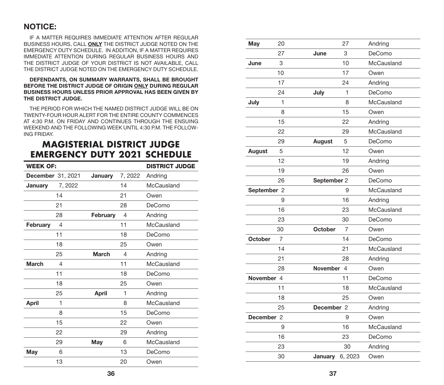#### NOTICE:

IF A MATTER REQUIRES IMMEDIATE ATTENTION AFTER REGULAR BUSINESS HOURS, CALL ONLY THE DISTRICT JUDGE NOTED ON THE EMERGENCY DUTY SCHEDULE. IN ADDITION, IF A MATTER REQUIRES IMMEDIATE ATTENTION DURING REGULAR BUSINESS HOURS AND THE DISTRICT JUDGE OF YOUR DISTRICT IS NOT AVAILABLE, CALL THE DISTRICT JUDGE NOTED ON THE EMERGENCY DUTY SCHEDULE.

#### DEFENDANTS, ON SUMMARY WARRANTS, SHALL BE BROUGHT BEFORE THE DISTRICT JUDGE OF ORIGIN ONLY DURING REGULAR BUSINESS HOURS UNLESS PRIOR APPROVAL HAS BEEN GIVEN BY THE DISTRICT JUDGE.

THE PERIOD FOR WHICH THE NAMED DISTRICT JUDGE WILL BE ON TWENTY-FOUR HOUR ALERT FOR THE ENTIRE COUNTY COMMENCES AT 4:30 P.M. ON FRIDAY AND CONTINUES THROUGH THE ENSUING WEEKEND AND THE FOLLOWING WEEK UNTIL 4:30 P.M. THE FOLLOW - ING FRIDAY.

#### **MAGISTERIAL DISTRICT JUDGE EMERGENCY DUTY 2021 SCHEDULE**

| <b>WEEK OF:</b> |                          |              | <b>DISTRICT JUDGE</b> |            |
|-----------------|--------------------------|--------------|-----------------------|------------|
|                 | <b>December</b> 31, 2021 | January      | 7, 2022               | Andring    |
| January         | 7, 2022                  |              | 14                    | McCausland |
|                 | 14                       |              | 21                    | Owen       |
|                 | 21                       |              | 28                    | DeComo     |
|                 | 28                       | February     | 4                     | Andring    |
| <b>February</b> | 4                        |              | 11                    | McCausland |
|                 | 11                       |              | 18                    | DeComo     |
|                 | 18                       |              | 25                    | Owen       |
|                 | 25                       | <b>March</b> | 4                     | Andring    |
| <b>March</b>    | 4                        |              | 11                    | McCausland |
|                 | 11                       |              | 18                    | DeComo     |
|                 | 18                       |              | 25                    | Owen       |
|                 | 25                       | <b>April</b> | 1                     | Andring    |
| April           | 1                        |              | 8                     | McCausland |
|                 | 8                        |              | 15                    | DeComo     |
|                 | 15                       |              | 22                    | Owen       |
|                 | 22                       |              | 29                    | Andring    |
|                 | 29                       | May          | 6                     | McCausland |
| May             | 6                        |              | 13                    | DeComo     |
|                 | 13                       |              | 20                    | Owen       |

| May            | 20 |                 | 27             | Andring    |
|----------------|----|-----------------|----------------|------------|
|                | 27 | June            | 3              | DeComo     |
| June           | 3  |                 | 10             | McCausland |
|                | 10 |                 | 17             | Owen       |
|                | 17 |                 | 24             | Andring    |
|                | 24 | July            | 1              | DeComo     |
| July           | 1  |                 | 8              | McCausland |
|                | 8  |                 | 15             | Owen       |
|                | 15 |                 | 22             | Andring    |
|                | 22 |                 | 29             | McCausland |
|                | 29 | <b>August</b>   | 5              | DeComo     |
| <b>August</b>  | 5  |                 | 12             | Owen       |
|                | 12 |                 | 19             | Andring    |
|                | 19 |                 | 26             | Owen       |
|                | 26 | September 2     |                | DeComo     |
| September 2    |    |                 | 9              | McCausland |
|                | 9  |                 | 16             | Andring    |
|                | 16 |                 | 23             | McCausland |
|                | 23 |                 | 30             | DeComo     |
|                | 30 | <b>October</b>  | 7              | Owen       |
| <b>October</b> | 7  |                 | 14             | DeComo     |
|                | 14 |                 | 21             | McCausland |
|                | 21 |                 | 28             | Andring    |
|                | 28 | <b>November</b> | $\overline{4}$ | Owen       |
| November 4     |    |                 | 11             | DeComo     |
|                | 11 |                 | 18             | McCausland |
|                | 18 |                 | 25             | Owen       |
|                | 25 | December 2      |                | Andring    |
| December 2     |    |                 | 9              | Owen       |
|                | 9  |                 | 16             | McCausland |
|                | 16 |                 | 23             | DeComo     |
|                | 23 |                 | 30             | Andring    |
|                | 30 | January         | 6, 2023        | Owen       |
|                |    |                 |                |            |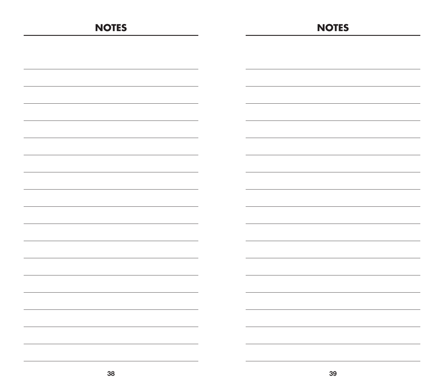| <b>NOTES</b> | <b>NOTES</b> |
|--------------|--------------|
|              |              |
|              |              |
|              |              |
|              |              |
|              |              |
|              |              |
|              |              |
|              |              |
|              |              |
|              |              |
|              |              |
|              |              |
|              |              |
|              |              |
|              |              |
|              |              |
|              |              |